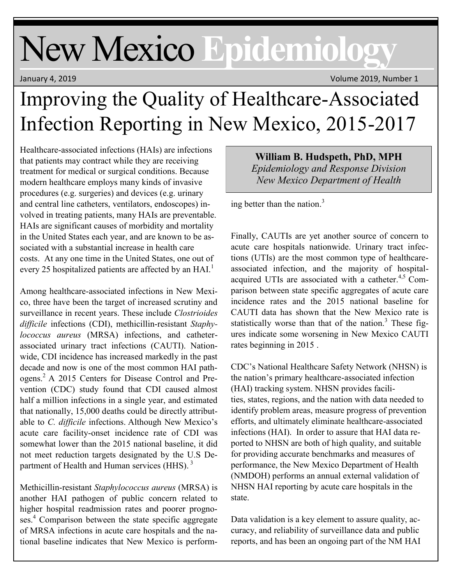# New Mexico **Epidemiology**

January 4, 2019 Volume 2019, Number 1

## Improving the Quality of Healthcare-Associated Infection Reporting in New Mexico, 2015-2017

Healthcare-associated infections (HAIs) are infections that patients may contract while they are receiving treatment for medical or surgical conditions. Because modern healthcare employs many kinds of invasive procedures (e.g. surgeries) and devices (e.g. urinary and central line catheters, ventilators, endoscopes) involved in treating patients, many HAIs are preventable. HAIs are significant causes of morbidity and mortality in the United States each year, and are known to be associated with a substantial increase in health care costs. At any one time in the United States, one out of every 25 hospitalized patients are affected by an HAI.<sup>1</sup>

Among healthcare-associated infections in New Mexico, three have been the target of increased scrutiny and surveillance in recent years. These include *Clostrioides difficile* infections (CDI), methicillin-resistant *Staphylococcus aureus* (MRSA) infections, and catheterassociated urinary tract infections (CAUTI). Nationwide, CDI incidence has increased markedly in the past decade and now is one of the most common HAI pathogens.<sup>2</sup> A 2015 Centers for Disease Control and Prevention (CDC) study found that CDI caused almost half a million infections in a single year, and estimated that nationally, 15,000 deaths could be directly attributable to *C. difficile* infections. Although New Mexico's acute care facility-onset incidence rate of CDI was somewhat lower than the 2015 national baseline, it did not meet reduction targets designated by the U.S Department of Health and Human services (HHS).<sup>3</sup>

Methicillin-resistant *Staphylococcus aureus* (MRSA) is another HAI pathogen of public concern related to higher hospital readmission rates and poorer prognoses.<sup>4</sup> Comparison between the state specific aggregate of MRSA infections in acute care hospitals and the national baseline indicates that New Mexico is perform-

**William B. Hudspeth, PhD, MPH** *Epidemiology and Response Division New Mexico Department of Health*

ing better than the nation. $3$ 

Finally, CAUTIs are yet another source of concern to acute care hospitals nationwide. Urinary tract infections (UTIs) are the most common type of healthcareassociated infection, and the majority of hospitalacquired UTIs are associated with a catheter.<sup>4,5</sup> Comparison between state specific aggregates of acute care incidence rates and the 2015 national baseline for CAUTI data has shown that the New Mexico rate is statistically worse than that of the nation.<sup>3</sup> These figures indicate some worsening in New Mexico CAUTI rates beginning in 2015 .

CDC's National Healthcare Safety Network (NHSN) is the nation's primary healthcare-associated infection ([HAI\)](https://www.cdc.gov/HAI/index.html) tracking system. NHSN provides facilities, [states,](https://www.cdc.gov/HAI/state-based/index.html) regions, and the nation with data needed to identify problem areas, measure progress of prevention efforts, and ultimately eliminate healthcare-associated infections (HAI). In order to assure that HAI data reported to NHSN are both of high quality, and suitable for providing accurate benchmarks and measures of performance, the New Mexico Department of Health (NMDOH) performs an annual external validation of NHSN HAI reporting by acute care hospitals in the state.

Data validation is a key element to assure quality, accuracy, and reliability of surveillance data and public reports, and has been an ongoing part of the NM HAI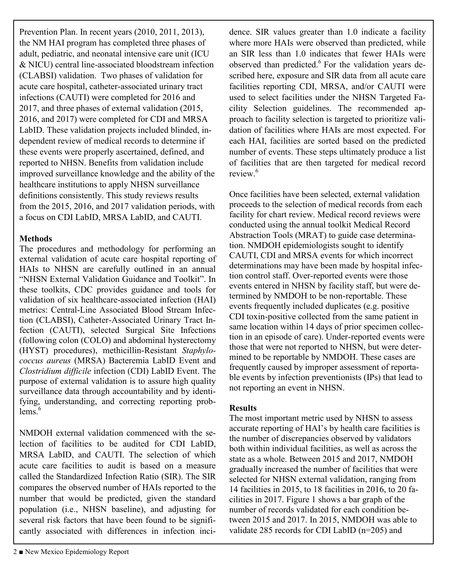Prevention Plan. In recent years (2010, 2011, 2013), the NM HAI program has completed three phases of adult, pediatric, and neonatal intensive care unit (ICU & NICU) central line-associated bloodstream infection (CLABSI) validation. Two phases of validation for acute care hospital, catheter-associated urinary tract infections (CAUTI) were completed for 2016 and 2017, and three phases of external validation (2015, 2016, and 2017) were completed for CDI and MRSA LabID. These validation projects included blinded, independent review of medical records to determine if these events were properly ascertained, defined, and reported to NHSN. Benefits from validation include improved surveillance knowledge and the ability of the healthcare institutions to apply NHSN surveillance definitions consistently. This study reviews results from the 2015, 2016, and 2017 validation periods, with a focus on CDI LabID, MRSA LabID, and CAUTI.

#### **Methods**

The procedures and methodology for performing an external validation of acute care hospital reporting of HAIs to NHSN are carefully outlined in an annual "NHSN External Validation Guidance and Toolkit". In these toolkits, CDC provides guidance and tools for validation of six healthcare-associated infection (HAI) metrics: Central-Line Associated Blood Stream Infection (CLABSI), Catheter-Associated Urinary Tract Infection (CAUTI), selected Surgical Site Infections (following colon (COLO) and abdominal hysterectomy (HYST) procedures), methicillin-Resistant *Staphylococcus aureus* (MRSA) Bacteremia LabID Event and *Clostridium difficile* infection (CDI) LabID Event. The purpose of external validation is to assure high quality surveillance data through accountability and by identifying, understanding, and correcting reporting prob $lems.<sup>6</sup>$ 

NMDOH external validation commenced with the selection of facilities to be audited for CDI LabID, MRSA LabID, and CAUTI. The selection of which acute care facilities to audit is based on a measure called the Standardized Infection Ratio (SIR). The SIR compares the observed number of HAIs reported to the number that would be predicted, given the standard population (i.e., NHSN baseline), and adjusting for several risk factors that have been found to be significantly associated with differences in infection incidence. SIR values greater than 1.0 indicate a facility where more HAIs were observed than predicted, while an SIR less than 1.0 indicates that fewer HAIs were observed than predicted. $6$  For the validation years described here, exposure and SIR data from all acute care facilities reporting CDI, MRSA, and/or CAUTI were used to select facilities under the NHSN Targeted Facility Selection guidelines. The recommended approach to facility selection is targeted to prioritize validation of facilities where HAIs are most expected. For each HAI, facilities are sorted based on the predicted number of events. These steps ultimately produce a list of facilities that are then targeted for medical record review.<sup>6</sup>

Once facilities have been selected, external validation proceeds to the selection of medical records from each facility for chart review. Medical record reviews were conducted using the annual toolkit Medical Record Abstraction Tools (MRAT) to guide case determination. NMDOH epidemiologists sought to identify CAUTI, CDI and MRSA events for which incorrect determinations may have been made by hospital infection control staff. Over-reported events were those events entered in NHSN by facility staff, but were determined by NMDOH to be non-reportable. These events frequently included duplicates (e.g. positive CDI toxin-positive collected from the same patient in same location within 14 days of prior specimen collection in an episode of care). Under-reported events were those that were not reported to NHSN, but were determined to be reportable by NMDOH. These cases are frequently caused by improper assessment of reportable events by infection preventionists (IPs) that lead to not reporting an event in NHSN.

#### **Results**

The most important metric used by NHSN to assess accurate reporting of HAI's by health care facilities is the number of discrepancies observed by validators both within individual facilities, as well as across the state as a whole. Between 2015 and 2017, NMDOH gradually increased the number of facilities that were selected for NHSN external validation, ranging from 14 facilities in 2015, to 18 facilities in 2016, to 20 facilities in 2017. Figure 1 shows a bar graph of the number of records validated for each condition between 2015 and 2017. In 2015, NMDOH was able to validate 285 records for CDI LabID (n=205) and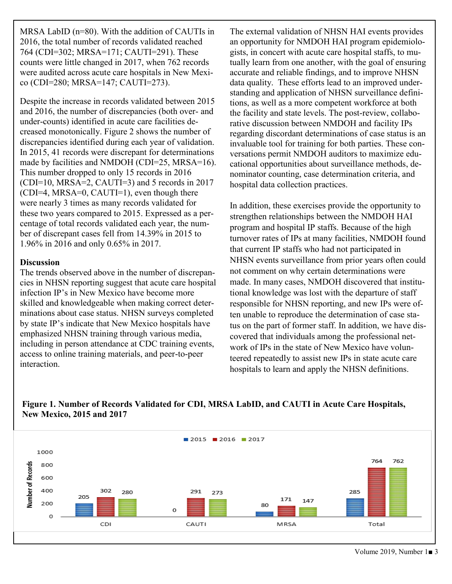MRSA LabID (n=80). With the addition of CAUTIs in 2016, the total number of records validated reached 764 (CDI=302; MRSA=171; CAUTI=291). These counts were little changed in 2017, when 762 records were audited across acute care hospitals in New Mexico (CDI=280; MRSA=147; CAUTI=273).

Despite the increase in records validated between 2015 and 2016, the number of discrepancies (both over- and under-counts) identified in acute care facilities decreased monotonically. Figure 2 shows the number of discrepancies identified during each year of validation. In 2015, 41 records were discrepant for determinations made by facilities and NMDOH (CDI=25, MRSA=16). This number dropped to only 15 records in 2016 (CDI=10, MRSA=2, CAUTI=3) and 5 records in 2017 (CDI=4, MRSA=0, CAUTI=1), even though there were nearly 3 times as many records validated for these two years compared to 2015. Expressed as a percentage of total records validated each year, the number of discrepant cases fell from 14.39% in 2015 to 1.96% in 2016 and only 0.65% in 2017.

#### **Discussion**

The trends observed above in the number of discrepancies in NHSN reporting suggest that acute care hospital infection IP's in New Mexico have become more skilled and knowledgeable when making correct determinations about case status. NHSN surveys completed by state IP's indicate that New Mexico hospitals have emphasized NHSN training through various media, including in person attendance at CDC training events, access to online training materials, and peer-to-peer interaction.

The external validation of NHSN HAI events provides an opportunity for NMDOH HAI program epidemiologists, in concert with acute care hospital staffs, to mutually learn from one another, with the goal of ensuring accurate and reliable findings, and to improve NHSN data quality. These efforts lead to an improved understanding and application of NHSN surveillance definitions, as well as a more competent workforce at both the facility and state levels. The post-review, collaborative discussion between NMDOH and facility IPs regarding discordant determinations of case status is an invaluable tool for training for both parties. These conversations permit NMDOH auditors to maximize educational opportunities about surveillance methods, denominator counting, case determination criteria, and hospital data collection practices.

In addition, these exercises provide the opportunity to strengthen relationships between the NMDOH HAI program and hospital IP staffs. Because of the high turnover rates of IPs at many facilities, NMDOH found that current IP staffs who had not participated in NHSN events surveillance from prior years often could not comment on why certain determinations were made. In many cases, NMDOH discovered that institutional knowledge was lost with the departure of staff responsible for NHSN reporting, and new IPs were often unable to reproduce the determination of case status on the part of former staff. In addition, we have discovered that individuals among the professional network of IPs in the state of New Mexico have volunteered repeatedly to assist new IPs in state acute care hospitals to learn and apply the NHSN definitions.



### **Figure 1. Number of Records Validated for CDI, MRSA LabID, and CAUTI in Acute Care Hospitals, New Mexico, 2015 and 2017**

Volume 2019, Number 1■ 3